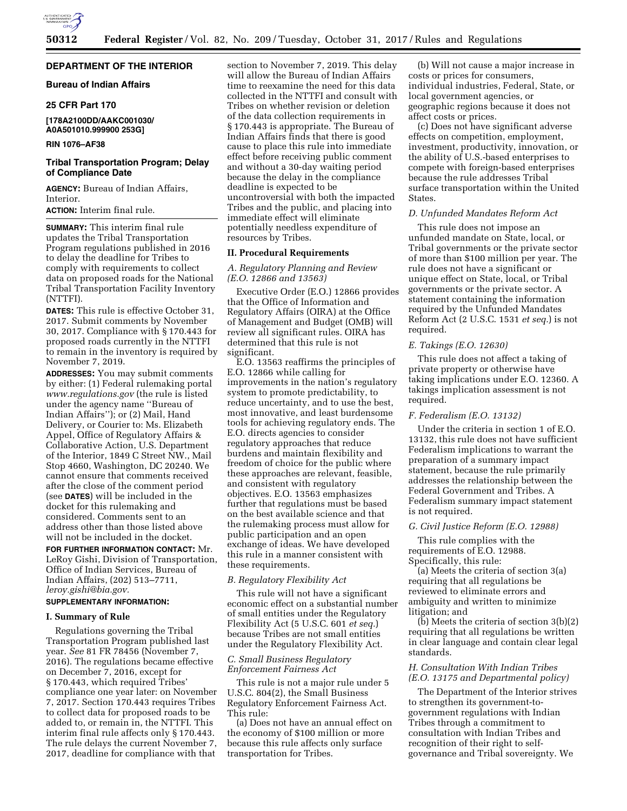

## **DEPARTMENT OF THE INTERIOR**

## **Bureau of Indian Affairs**

### **25 CFR Part 170**

## **[178A2100DD/AAKC001030/ A0A501010.999900 253G]**

## **RIN 1076–AF38**

## **Tribal Transportation Program; Delay of Compliance Date**

**AGENCY:** Bureau of Indian Affairs, Interior.

**ACTION:** Interim final rule.

**SUMMARY:** This interim final rule updates the Tribal Transportation Program regulations published in 2016 to delay the deadline for Tribes to comply with requirements to collect data on proposed roads for the National Tribal Transportation Facility Inventory (NTTFI).

**DATES:** This rule is effective October 31, 2017. Submit comments by November 30, 2017. Compliance with § 170.443 for proposed roads currently in the NTTFI to remain in the inventory is required by November 7, 2019.

**ADDRESSES:** You may submit comments by either: (1) Federal rulemaking portal *[www.regulations.gov](http://www.regulations.gov)* (the rule is listed under the agency name ''Bureau of Indian Affairs''); or (2) Mail, Hand Delivery, or Courier to: Ms. Elizabeth Appel, Office of Regulatory Affairs & Collaborative Action, U.S. Department of the Interior, 1849 C Street NW., Mail Stop 4660, Washington, DC 20240. We cannot ensure that comments received after the close of the comment period (see **DATES**) will be included in the docket for this rulemaking and considered. Comments sent to an address other than those listed above will not be included in the docket.

**FOR FURTHER INFORMATION CONTACT:** Mr. LeRoy Gishi, Division of Transportation, Office of Indian Services, Bureau of Indian Affairs, (202) 513–7711, *[leroy.gishi@bia.gov.](mailto:leroy.gishi@bia.gov)* 

# **SUPPLEMENTARY INFORMATION:**

## **I. Summary of Rule**

Regulations governing the Tribal Transportation Program published last year. *See* 81 FR 78456 (November 7, 2016). The regulations became effective on December 7, 2016, except for § 170.443, which required Tribes' compliance one year later: on November 7, 2017. Section 170.443 requires Tribes to collect data for proposed roads to be added to, or remain in, the NTTFI. This interim final rule affects only § 170.443. The rule delays the current November 7, 2017, deadline for compliance with that

section to November 7, 2019. This delay will allow the Bureau of Indian Affairs time to reexamine the need for this data collected in the NTTFI and consult with Tribes on whether revision or deletion of the data collection requirements in § 170.443 is appropriate. The Bureau of Indian Affairs finds that there is good cause to place this rule into immediate effect before receiving public comment and without a 30-day waiting period because the delay in the compliance deadline is expected to be uncontroversial with both the impacted Tribes and the public, and placing into immediate effect will eliminate potentially needless expenditure of resources by Tribes.

#### **II. Procedural Requirements**

*A. Regulatory Planning and Review (E.O. 12866 and 13563)* 

Executive Order (E.O.) 12866 provides that the Office of Information and Regulatory Affairs (OIRA) at the Office of Management and Budget (OMB) will review all significant rules. OIRA has determined that this rule is not significant.

E.O. 13563 reaffirms the principles of E.O. 12866 while calling for improvements in the nation's regulatory system to promote predictability, to reduce uncertainty, and to use the best, most innovative, and least burdensome tools for achieving regulatory ends. The E.O. directs agencies to consider regulatory approaches that reduce burdens and maintain flexibility and freedom of choice for the public where these approaches are relevant, feasible, and consistent with regulatory objectives. E.O. 13563 emphasizes further that regulations must be based on the best available science and that the rulemaking process must allow for public participation and an open exchange of ideas. We have developed this rule in a manner consistent with these requirements.

### *B. Regulatory Flexibility Act*

This rule will not have a significant economic effect on a substantial number of small entities under the Regulatory Flexibility Act (5 U.S.C. 601 *et seq.*) because Tribes are not small entities under the Regulatory Flexibility Act.

## *C. Small Business Regulatory Enforcement Fairness Act*

This rule is not a major rule under 5 U.S.C. 804(2), the Small Business Regulatory Enforcement Fairness Act. This rule:

(a) Does not have an annual effect on the economy of \$100 million or more because this rule affects only surface transportation for Tribes.

(b) Will not cause a major increase in costs or prices for consumers, individual industries, Federal, State, or local government agencies, or geographic regions because it does not affect costs or prices.

(c) Does not have significant adverse effects on competition, employment, investment, productivity, innovation, or the ability of U.S.-based enterprises to compete with foreign-based enterprises because the rule addresses Tribal surface transportation within the United States.

### *D. Unfunded Mandates Reform Act*

This rule does not impose an unfunded mandate on State, local, or Tribal governments or the private sector of more than \$100 million per year. The rule does not have a significant or unique effect on State, local, or Tribal governments or the private sector. A statement containing the information required by the Unfunded Mandates Reform Act (2 U.S.C. 1531 *et seq.*) is not required.

#### *E. Takings (E.O. 12630)*

This rule does not affect a taking of private property or otherwise have taking implications under E.O. 12360. A takings implication assessment is not required.

### *F. Federalism (E.O. 13132)*

Under the criteria in section 1 of E.O. 13132, this rule does not have sufficient Federalism implications to warrant the preparation of a summary impact statement, because the rule primarily addresses the relationship between the Federal Government and Tribes. A Federalism summary impact statement is not required.

## *G. Civil Justice Reform (E.O. 12988)*

This rule complies with the requirements of E.O. 12988. Specifically, this rule:

(a) Meets the criteria of section 3(a) requiring that all regulations be reviewed to eliminate errors and ambiguity and written to minimize litigation; and

(b) Meets the criteria of section 3(b)(2) requiring that all regulations be written in clear language and contain clear legal standards.

#### *H. Consultation With Indian Tribes (E.O. 13175 and Departmental policy)*

The Department of the Interior strives to strengthen its government-togovernment regulations with Indian Tribes through a commitment to consultation with Indian Tribes and recognition of their right to selfgovernance and Tribal sovereignty. We